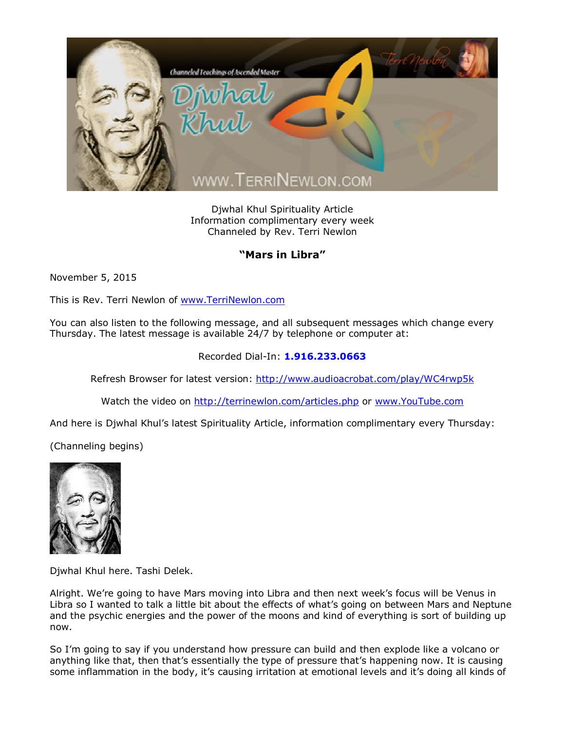

Djwhal Khul Spirituality Article Information complimentary every week Channeled by Rev. Terri Newlon

## **"Mars in Libra"**

November 5, 2015

This is Rev. Terri Newlon of [www.TerriNewlon.com](http://www.terrinewlon.com/)

You can also listen to the following message, and all subsequent messages which change every Thursday. The latest message is available 24/7 by telephone or computer at:

## Recorded Dial-In: **1.916.233.0663**

Refresh Browser for latest version: <http://www.audioacrobat.com/play/WC4rwp5k>

Watch the video on <http://terrinewlon.com/articles.php> or [www.YouTube.com](http://www.youtube.com/)

And here is Djwhal Khul's latest Spirituality Article, information complimentary every Thursday:

(Channeling begins)



Djwhal Khul here. Tashi Delek.

Alright. We're going to have Mars moving into Libra and then next week's focus will be Venus in Libra so I wanted to talk a little bit about the effects of what's going on between Mars and Neptune and the psychic energies and the power of the moons and kind of everything is sort of building up now.

So I'm going to say if you understand how pressure can build and then explode like a volcano or anything like that, then that's essentially the type of pressure that's happening now. It is causing some inflammation in the body, it's causing irritation at emotional levels and it's doing all kinds of